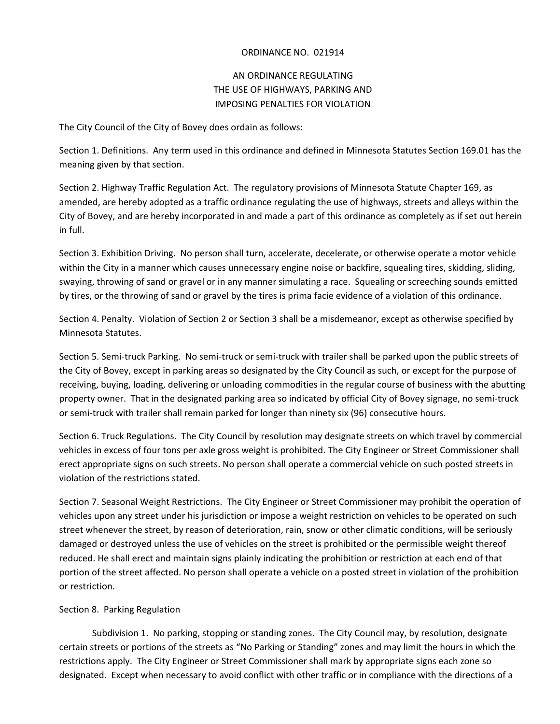#### ORDINANCE NO. 021914

# AN ORDINANCE REGULATING THE USE OF HIGHWAYS, PARKING AND IMPOSING PENALTIES FOR VIOLATION

The City Council of the City of Bovey does ordain as follows:

Section 1. Definitions. Any term used in this ordinance and defined in Minnesota Statutes Section 169.01 has the meaning given by that section.

Section 2. Highway Traffic Regulation Act. The regulatory provisions of Minnesota Statute Chapter 169, as amended, are hereby adopted as a traffic ordinance regulating the use of highways, streets and alleys within the City of Bovey, and are hereby incorporated in and made a part of this ordinance as completely as if set out herein in full.

Section 3. Exhibition Driving. No person shall turn, accelerate, decelerate, or otherwise operate a motor vehicle within the City in a manner which causes unnecessary engine noise or backfire, squealing tires, skidding, sliding, swaying, throwing of sand or gravel or in any manner simulating a race. Squealing or screeching sounds emitted by tires, or the throwing of sand or gravel by the tires is prima facie evidence of a violation of this ordinance.

Section 4. Penalty. Violation of Section 2 or Section 3 shall be a misdemeanor, except as otherwise specified by Minnesota Statutes.

Section 5. Semi-truck Parking. No semi-truck or semi-truck with trailer shall be parked upon the public streets of the City of Bovey, except in parking areas so designated by the City Council as such, or except for the purpose of receiving, buying, loading, delivering or unloading commodities in the regular course of business with the abutting property owner. That in the designated parking area so indicated by official City of Bovey signage, no semi‐truck or semi-truck with trailer shall remain parked for longer than ninety six (96) consecutive hours.

Section 6. Truck Regulations. The City Council by resolution may designate streets on which travel by commercial vehicles in excess of four tons per axle gross weight is prohibited. The City Engineer or Street Commissioner shall erect appropriate signs on such streets. No person shall operate a commercial vehicle on such posted streets in violation of the restrictions stated.

Section 7. Seasonal Weight Restrictions. The City Engineer or Street Commissioner may prohibit the operation of vehicles upon any street under his jurisdiction or impose a weight restriction on vehicles to be operated on such street whenever the street, by reason of deterioration, rain, snow or other climatic conditions, will be seriously damaged or destroyed unless the use of vehicles on the street is prohibited or the permissible weight thereof reduced. He shall erect and maintain signs plainly indicating the prohibition or restriction at each end of that portion of the street affected. No person shall operate a vehicle on a posted street in violation of the prohibition or restriction.

#### Section 8. Parking Regulation

Subdivision 1. No parking, stopping or standing zones. The City Council may, by resolution, designate certain streets or portions of the streets as "No Parking or Standing" zones and may limit the hours in which the restrictions apply. The City Engineer or Street Commissioner shall mark by appropriate signs each zone so designated. Except when necessary to avoid conflict with other traffic or in compliance with the directions of a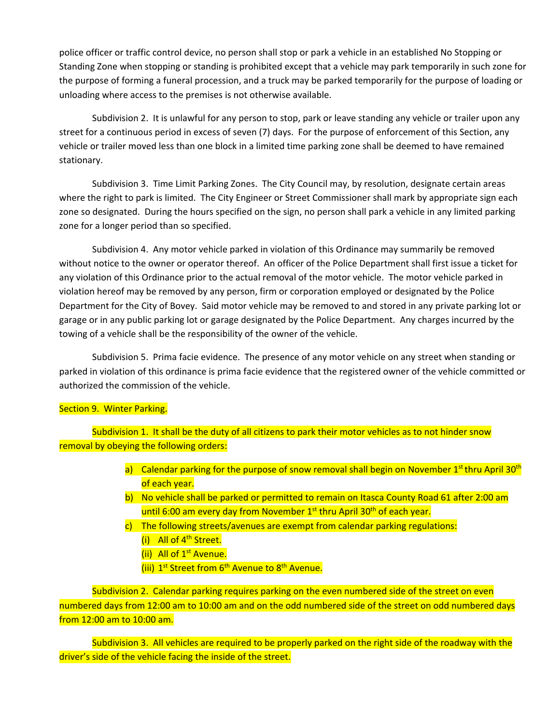police officer or traffic control device, no person shall stop or park a vehicle in an established No Stopping or Standing Zone when stopping or standing is prohibited except that a vehicle may park temporarily in such zone for the purpose of forming a funeral procession, and a truck may be parked temporarily for the purpose of loading or unloading where access to the premises is not otherwise available.

Subdivision 2. It is unlawful for any person to stop, park or leave standing any vehicle or trailer upon any street for a continuous period in excess of seven (7) days. For the purpose of enforcement of this Section, any vehicle or trailer moved less than one block in a limited time parking zone shall be deemed to have remained stationary.

Subdivision 3. Time Limit Parking Zones. The City Council may, by resolution, designate certain areas where the right to park is limited. The City Engineer or Street Commissioner shall mark by appropriate sign each zone so designated. During the hours specified on the sign, no person shall park a vehicle in any limited parking zone for a longer period than so specified.

Subdivision 4. Any motor vehicle parked in violation of this Ordinance may summarily be removed without notice to the owner or operator thereof. An officer of the Police Department shall first issue a ticket for any violation of this Ordinance prior to the actual removal of the motor vehicle. The motor vehicle parked in violation hereof may be removed by any person, firm or corporation employed or designated by the Police Department for the City of Bovey. Said motor vehicle may be removed to and stored in any private parking lot or garage or in any public parking lot or garage designated by the Police Department. Any charges incurred by the towing of a vehicle shall be the responsibility of the owner of the vehicle.

Subdivision 5. Prima facie evidence. The presence of any motor vehicle on any street when standing or parked in violation of this ordinance is prima facie evidence that the registered owner of the vehicle committed or authorized the commission of the vehicle.

### Section 9. Winter Parking.

Subdivision 1. It shall be the duty of all citizens to park their motor vehicles as to not hinder snow removal by obeying the following orders:

- a) Calendar parking for the purpose of snow removal shall begin on November  $1<sup>st</sup>$  thru April 30<sup>th</sup> of each year.
- b) No vehicle shall be parked or permitted to remain on Itasca County Road 61 after 2:00 am until 6:00 am every day from November  $1<sup>st</sup>$  thru April 30<sup>th</sup> of each year.
- c) The following streets/avenues are exempt from calendar parking regulations: (i) All of 4<sup>th</sup> Street.
	- (ii) All of 1<sup>st</sup> Avenue.
	- (iii) 1<sup>st</sup> Street from 6<sup>th</sup> Avenue to 8<sup>th</sup> Avenue.

Subdivision 2. Calendar parking requires parking on the even numbered side of the street on even numbered days from 12:00 am to 10:00 am and on the odd numbered side of the street on odd numbered days from 12:00 am to 10:00 am.

Subdivision 3. All vehicles are required to be properly parked on the right side of the roadway with the driver's side of the vehicle facing the inside of the street.